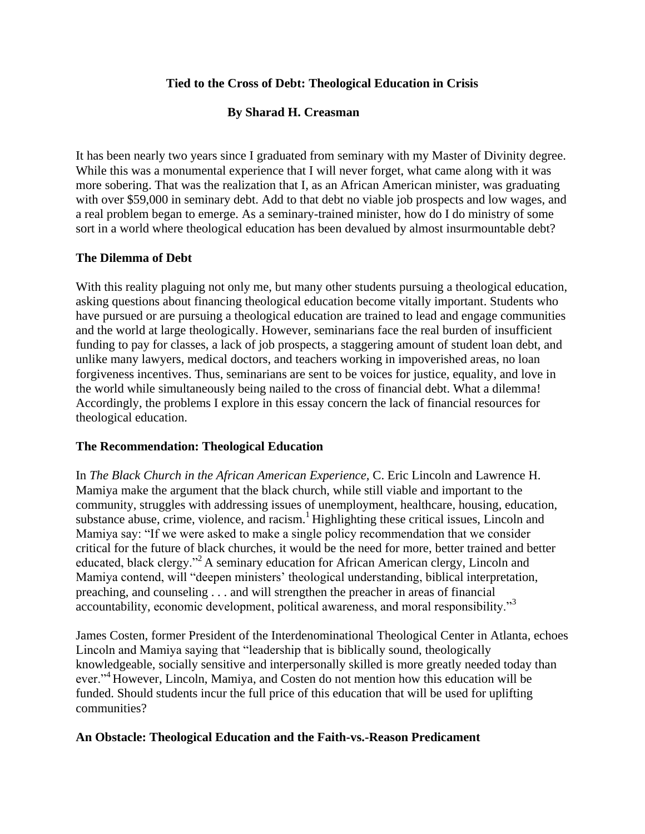# **Tied to the Cross of Debt: Theological Education in Crisis**

# **By Sharad H. Creasman**

It has been nearly two years since I graduated from seminary with my Master of Divinity degree. While this was a monumental experience that I will never forget, what came along with it was more sobering. That was the realization that I, as an African American minister, was graduating with over \$59,000 in seminary debt. Add to that debt no viable job prospects and low wages, and a real problem began to emerge. As a seminary-trained minister, how do I do ministry of some sort in a world where theological education has been devalued by almost insurmountable debt?

### **The Dilemma of Debt**

With this reality plaguing not only me, but many other students pursuing a theological education, asking questions about financing theological education become vitally important. Students who have pursued or are pursuing a theological education are trained to lead and engage communities and the world at large theologically. However, seminarians face the real burden of insufficient funding to pay for classes, a lack of job prospects, a staggering amount of student loan debt, and unlike many lawyers, medical doctors, and teachers working in impoverished areas, no loan forgiveness incentives. Thus, seminarians are sent to be voices for justice, equality, and love in the world while simultaneously being nailed to the cross of financial debt. What a dilemma! Accordingly, the problems I explore in this essay concern the lack of financial resources for theological education.

### **The Recommendation: Theological Education**

In *The Black Church in the African American Experience,* C. Eric Lincoln and Lawrence H. Mamiya make the argument that the black church, while still viable and important to the community, struggles with addressing issues of unemployment, healthcare, housing, education, substance abuse, crime, violence, and racism. $<sup>1</sup>$  Highlighting these critical issues, Lincoln and</sup> Mamiya say: "If we were asked to make a single policy recommendation that we consider critical for the future of black churches, it would be the need for more, better trained and better educated, black clergy."<sup>2</sup> A seminary education for African American clergy, Lincoln and Mamiya contend, will "deepen ministers' theological understanding, biblical interpretation, preaching, and counseling . . . and will strengthen the preacher in areas of financial accountability, economic development, political awareness, and moral responsibility."<sup>3</sup>

James Costen, former President of the Interdenominational Theological Center in Atlanta, echoes Lincoln and Mamiya saying that "leadership that is biblically sound, theologically knowledgeable, socially sensitive and interpersonally skilled is more greatly needed today than ever."<sup>4</sup> However, Lincoln, Mamiya, and Costen do not mention how this education will be funded. Should students incur the full price of this education that will be used for uplifting communities?

### **An Obstacle: Theological Education and the Faith-vs.-Reason Predicament**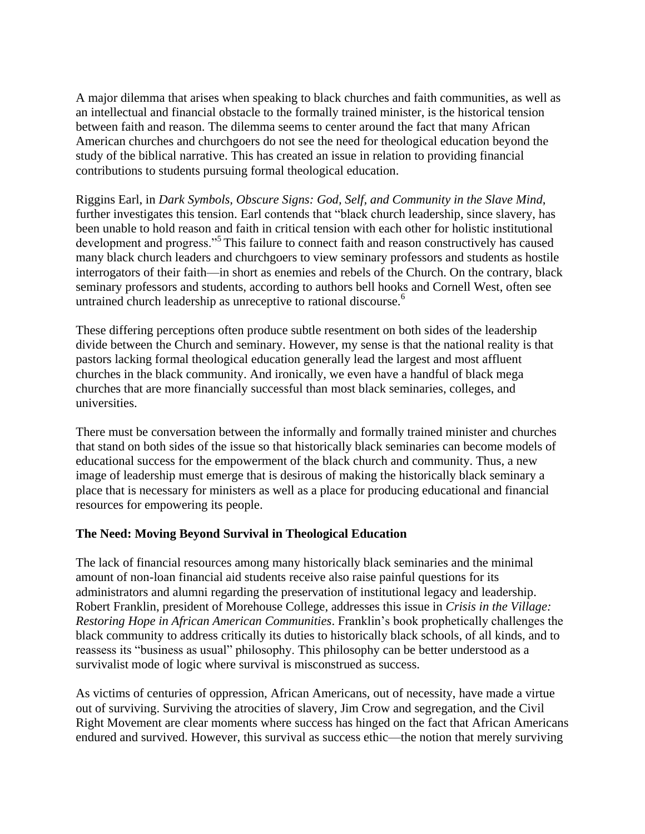A major dilemma that arises when speaking to black churches and faith communities, as well as an intellectual and financial obstacle to the formally trained minister, is the historical tension between faith and reason. The dilemma seems to center around the fact that many African American churches and churchgoers do not see the need for theological education beyond the study of the biblical narrative. This has created an issue in relation to providing financial contributions to students pursuing formal theological education.

Riggins Earl, in *Dark Symbols, Obscure Signs: God, Self, and Community in the Slave Mind*, further investigates this tension. Earl contends that "black church leadership, since slavery, has been unable to hold reason and faith in critical tension with each other for holistic institutional development and progress."<sup>5</sup> This failure to connect faith and reason constructively has caused many black church leaders and churchgoers to view seminary professors and students as hostile interrogators of their faith—in short as enemies and rebels of the Church. On the contrary, black seminary professors and students, according to authors bell hooks and Cornell West, often see untrained church leadership as unreceptive to rational discourse.<sup>6</sup>

These differing perceptions often produce subtle resentment on both sides of the leadership divide between the Church and seminary. However, my sense is that the national reality is that pastors lacking formal theological education generally lead the largest and most affluent churches in the black community. And ironically, we even have a handful of black mega churches that are more financially successful than most black seminaries, colleges, and universities.

There must be conversation between the informally and formally trained minister and churches that stand on both sides of the issue so that historically black seminaries can become models of educational success for the empowerment of the black church and community. Thus, a new image of leadership must emerge that is desirous of making the historically black seminary a place that is necessary for ministers as well as a place for producing educational and financial resources for empowering its people.

### **The Need: Moving Beyond Survival in Theological Education**

The lack of financial resources among many historically black seminaries and the minimal amount of non-loan financial aid students receive also raise painful questions for its administrators and alumni regarding the preservation of institutional legacy and leadership. Robert Franklin, president of Morehouse College, addresses this issue in *Crisis in the Village: Restoring Hope in African American Communities*. Franklin's book prophetically challenges the black community to address critically its duties to historically black schools, of all kinds, and to reassess its "business as usual" philosophy. This philosophy can be better understood as a survivalist mode of logic where survival is misconstrued as success.

As victims of centuries of oppression, African Americans, out of necessity, have made a virtue out of surviving. Surviving the atrocities of slavery, Jim Crow and segregation, and the Civil Right Movement are clear moments where success has hinged on the fact that African Americans endured and survived. However, this survival as success ethic—the notion that merely surviving